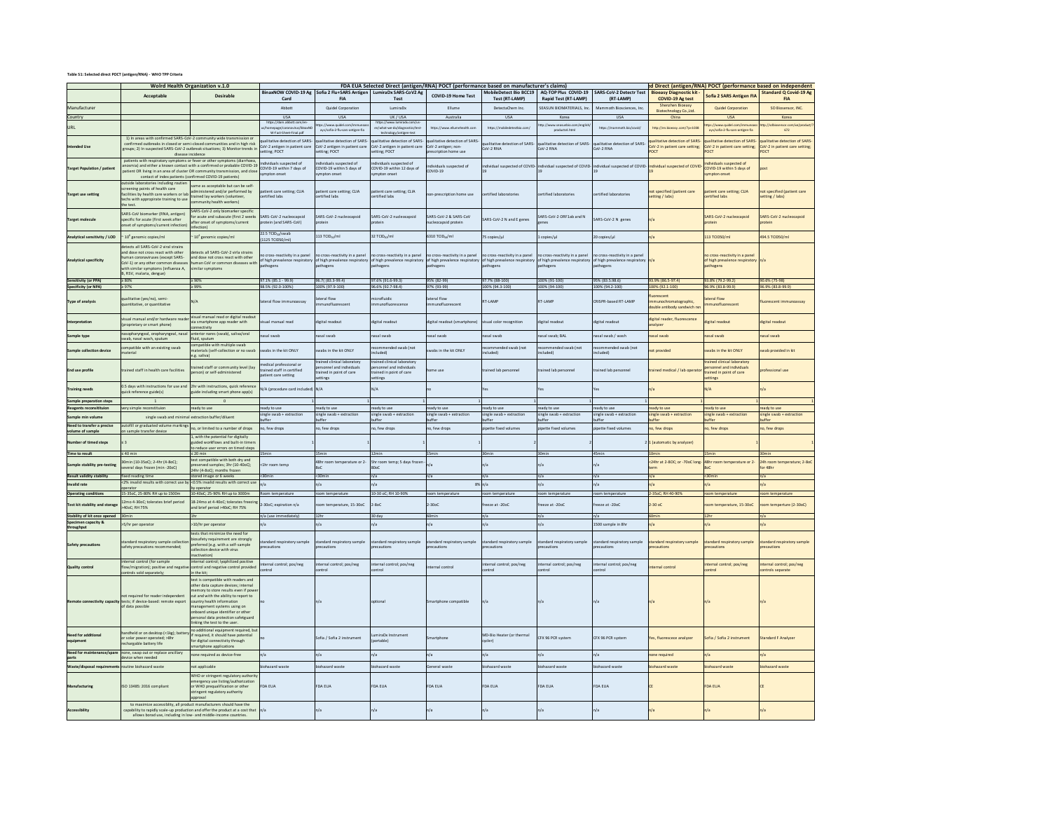## **Table S1: Selected direct POCT (antigen/RNA) - WHO TPP Criteria**

|                                                                                                                        | Wolrd Health Organization v.1.0<br>Desirable<br>Acceptable                                                                                                                                                                                                                                                                                                 |                                                                                                                                                                                                                                                                                                                                  | BinaxNOW COVID-19 Ag Sofia 2 Flu+SARS Antigen LumiraDx SARS-CoV2 Ag<br>Card<br><b>FIA</b>                                                            |                                                                                             | FDA EUA Selected Direct (antigen/RNA) POCT (performance based on manufacturer's claims)<br>COVID-19 Home Test<br>Test                                                               |                                                                            | <b>Test (RT-LAMP)</b>                                                                                                     | MobileDetect Bio BCC19   AO-TOP Plus COVID-19<br><b>Rapid Test (RT-LAMP)</b> | <b>SARS-CoV-2 Detectr Test</b><br>(RT-LAMP)                              | <b>Bioeasy Diagnostic kit -</b><br>COVID-19 Ag test                                          | Sofia 2 SARS Antigen FIA                                                                      | ed Direct (antigen/RNA) POCT (performance based on independent<br><b>Standard Q Covid-19 Ag</b> |  |
|------------------------------------------------------------------------------------------------------------------------|------------------------------------------------------------------------------------------------------------------------------------------------------------------------------------------------------------------------------------------------------------------------------------------------------------------------------------------------------------|----------------------------------------------------------------------------------------------------------------------------------------------------------------------------------------------------------------------------------------------------------------------------------------------------------------------------------|------------------------------------------------------------------------------------------------------------------------------------------------------|---------------------------------------------------------------------------------------------|-------------------------------------------------------------------------------------------------------------------------------------------------------------------------------------|----------------------------------------------------------------------------|---------------------------------------------------------------------------------------------------------------------------|------------------------------------------------------------------------------|--------------------------------------------------------------------------|----------------------------------------------------------------------------------------------|-----------------------------------------------------------------------------------------------|-------------------------------------------------------------------------------------------------|--|
| Manufacturer                                                                                                           |                                                                                                                                                                                                                                                                                                                                                            |                                                                                                                                                                                                                                                                                                                                  | Abbott                                                                                                                                               | Quidel Corporation                                                                          | <b>LumiraDx</b>                                                                                                                                                                     | Ellume                                                                     | DetectaChem Inc.                                                                                                          | SEASUN BIOMATERIALS Inc.                                                     | Mammoth Biosciences, Inc.                                                | Shenzhen Bioeasy<br>Biotechnology Co., Ltd.                                                  | <b>Quidel Corporation</b>                                                                     | <b>FIA</b><br>SD Biosensor, INC.                                                                |  |
| Country                                                                                                                |                                                                                                                                                                                                                                                                                                                                                            |                                                                                                                                                                                                                                                                                                                                  | USA<br>https://dam.abbott.com/e                                                                                                                      | <b>USA</b>                                                                                  | UK/USA                                                                                                                                                                              | Australia                                                                  | USA                                                                                                                       | Korea                                                                        | <b>USA</b>                                                               | China                                                                                        | <b>USA</b>                                                                                    | Korea                                                                                           |  |
| URL                                                                                                                    |                                                                                                                                                                                                                                                                                                                                                            |                                                                                                                                                                                                                                                                                                                                  |                                                                                                                                                      | tos://www.nuidel.com/im<br>ays/sofia-2-flu-sars-antigen-fia                                 | https://www.lumiradx.com<br>m/what-we-do/diagnostics/tes<br>technology/antigen-test                                                                                                 | https://www.ellumehealth.co                                                | https://mol                                                                                                               | to://www.seasuribio.com/engl<br>products4.html                               | https://ma                                                               | tre: Hususu müdal comfin<br>ttp://en.bioeasy.com/?p=1038<br>ays/sofia-2-flu-sars-antigen-fia |                                                                                               | v I Isrihin<br>nsor.com/xe/produc<br>672                                                        |  |
| Intended Lise                                                                                                          | 1) In areas with confirmed SARS-CoV-2 community wide transmission or                                                                                                                                                                                                                                                                                       | confirmed outbreaks in closed or semi-closed communities and in high risk<br>oups; 2) In suspected SARS-CoV-2 outbreak situations; 3) Monitor trends in<br>disease incidence                                                                                                                                                     | W-Fact-Sheet-Final.pdf<br>alitative detection of SARS-<br>CoV-2 antigen in patient care<br>etting; POCT                                              | alitative detection of SARS<br>oV-2 antigen in patient care<br>tting; POCT                  | alitative detection of SARS<br>CoV-2 antigen in patient care<br>tting; POCT                                                                                                         | alitative detection of SARS<br>CoV-2 antigen; non-<br>rescription home use | alitative detection of SARS-<br>CoV-2 RNA                                                                                 | ualitative detection of SARS<br>oV-2 RNA                                     | alitative detection of SARS-<br>oV-2 RNA                                 | ualitative detection of SARS-<br>CoV-2 in patient care setting;<br><b>DO</b>                 | salitative detection of SARS-<br>CoV-2 in patient care setting;<br>OCT                        | alitative detection of SARS-<br>CoV-2 in patient care setting<br>POCT                           |  |
| <b>Target Population / patien</b>                                                                                      | patients with respiratory symptoms or fever or other symptoms (diarrhoea<br>contact of index patients (confirmed COVID-19 patients)                                                                                                                                                                                                                        | nosmia) and either a known contact with a confirmed or probable COVID-19<br>patient OR living in an area of cluster OR community transmission, and clos-                                                                                                                                                                         | dividuals suspected of<br>COVID-19 within 7 days of<br>moton onset                                                                                   | dividuals suspected of<br>OVID-19 within 5 days of<br>mpton onset                           | lividuals suspected of<br>COVID-19 within 12 days of<br>moton onset                                                                                                                 | ividuals suspected of<br>COVID-19                                          | dividual suspected of COVID                                                                                               | dividual suspected of COVID                                                  | ndividual suspected of COVID                                             | dividual suspected of COVID-                                                                 | ndividuals suspected of<br>COVID-19 within 5 days of<br>mpton onset                           |                                                                                                 |  |
| <b>Target use setting</b>                                                                                              | utside laboratories including routien<br>same as acceptable but can be self-<br>screening points of health care<br>administered and/or performed by<br>cilities by health care workers or lab<br>trained lay workers (volunteer,<br>techs with appropirate training to use<br>community health workers)<br>the test.                                       |                                                                                                                                                                                                                                                                                                                                  | atient care setting; CLIA<br>ertified labs                                                                                                           | atient care setting; CLIA<br>ertified labs                                                  | tient care setting; CLIA<br>ertified labs                                                                                                                                           | on-prescription home use                                                   | ertified laboratories                                                                                                     | certified laboratories<br>ertified laboratories                              |                                                                          | not specified (patient care<br>setting / labs)                                               | atient care setting; CLIA<br>ertified labs                                                    | not specified (patient care<br>etting / labs)                                                   |  |
| <b>Target molecul</b>                                                                                                  | SARS-CoV biomarker (RNA, antigen)<br>pecific for acute (first week after<br>nset of symptoms/current infection                                                                                                                                                                                                                                             | SARS-CoV-2 only biomarker specific<br>for acute and subacute (first 2 weeks<br>after onset of symptoms/current<br>infection)                                                                                                                                                                                                     | SARS-CoV-2 nucleocapsid<br>otein (and SARS-CoV)                                                                                                      | ARS-CoV-2 nucleocapsid<br>rotein                                                            | SARS-CoV-2 nucleocapsid<br>itein                                                                                                                                                    | SARS-CoV-2 & SARS-CoV<br>acleocapsid protein                               | SARS-CoV-2 N and E gene                                                                                                   | SARS-CoV-2 ORF1ab and N<br>nes                                               | SARS-CoV-2 N genes                                                       |                                                                                              | SARS-CoV-2 nucleocapsid                                                                       | SARS-CoV-2 nucleocapsid<br>otein                                                                |  |
| alytical sensitivity / LOD                                                                                             | 10 <sup>6</sup> genomic copies/ml                                                                                                                                                                                                                                                                                                                          | 10 <sup>4</sup> genomic copies/ml                                                                                                                                                                                                                                                                                                | 22.5 TCIDe/swab<br>(1125 TCID50/ml)                                                                                                                  | 113 TCID <sub>co</sub> /ml                                                                  | 32 TCID <sub>sa</sub> /ml                                                                                                                                                           | 6310 TCID <sub>co</sub> /ml                                                | 75 copies/µl                                                                                                              | copies/µl                                                                    | 20 copies/µl                                                             |                                                                                              | 113 TCID50/m                                                                                  | 494.5 TCID50/m                                                                                  |  |
| Analytical specificity                                                                                                 | letects all SARS-CoV-2 viral strains<br>etects all SARS-CoV-2 virla strains<br>and dose not cross react with other<br>man coronaviruses (except SARS-<br>and dose not cross react with other<br>human CoV or common diseases wit<br>CoV-1) or any other common disease<br>ith similar symptoms (influenza A,<br>milar symptoms<br>B, RSV, malaria, dengue) |                                                                                                                                                                                                                                                                                                                                  | cross-reactivity in a nanel<br>cross-reactivity in a panel<br>f high prevalence respiratory<br>f high prevalence respiratory<br>athogens<br>athogens |                                                                                             | n cross-reactivity in a nanel<br>cross-reactivity in a panel<br>of high prevalence respiratory of high prevalence respiratory of high prevalence respiratory<br>thogens<br>athogens |                                                                            | no cross-reactivity in a panel<br>p cross-reactivity in a panel<br>of high prevalence respiratory<br>athogens<br>athogens |                                                                              | cross-reactivity in a panel<br>of high prevalence respiratory<br>thogens |                                                                                              | o cross-reactivity in a panel<br>f high prevalence respiratory<br>athogens                    |                                                                                                 |  |
| Sensitivity (or PPA)                                                                                                   | 280%<br>297%                                                                                                                                                                                                                                                                                                                                               | $\geq 90\%$<br>299%                                                                                                                                                                                                                                                                                                              | 97.1% (85.1 - 99.9)<br>98.5% (92.0-100%)                                                                                                             | 96.7(183.3-99.4)<br>100% (97.9-100)                                                         | 97.6% (91.6-99.3)<br>96.6% (92.7-98.4)                                                                                                                                              | 95% (82-99)<br>97% (93-99)                                                 | 97.7% (88-100)<br>100% (94.3-100)                                                                                         | 100% (91-100)<br>100% (94-100)                                               | 95% (83.5.98.6)<br>100% (94.2-100)                                       | 93.9% (86.5-97.4<br>100% (92.1-100)                                                          | 93.8% (79.2-99.2)<br>96.9% (83.8-99.9)                                                        | 90.6% (75-98)<br>96.9% (83.8-99.9)                                                              |  |
| <b>Specificity (or NPA)</b><br>Type of analysis                                                                        | alitative (yes/no), semi<br>antitative, or quantitative                                                                                                                                                                                                                                                                                                    | N/A                                                                                                                                                                                                                                                                                                                              | ateral flow immunoassay                                                                                                                              | teral flow<br>nmunofluorescent                                                              | crofluidic<br>munofluorescence                                                                                                                                                      | eral flow<br>nmunofluorescent                                              | RT-LAMP                                                                                                                   | RT-LAMP                                                                      | CRISPR-based RT-LAMP                                                     | nrescent<br>munochromatographic,<br>uble antibody sandwich rx                                | teral flow<br>mmunofluorescent                                                                | uorescent immunoassay                                                                           |  |
|                                                                                                                        | sual manual and/or hardware rea-<br>proprietary or smart phone)                                                                                                                                                                                                                                                                                            | visual manual read or digital readout<br>via smartphone app reader with<br>connectivity                                                                                                                                                                                                                                          | al manual read                                                                                                                                       | igital readout                                                                              | ligital readout                                                                                                                                                                     | igital readout (smartphone)                                                | isual color recognitio                                                                                                    | ligital readou                                                               | igital readout                                                           | digital reader, fluorescence<br>alyzer                                                       | gital readou                                                                                  | igital readout                                                                                  |  |
| Sample type                                                                                                            | nasopharyngeal, oropharyngeal, nasal                                                                                                                                                                                                                                                                                                                       | anterior nares (swab), saliva/oral                                                                                                                                                                                                                                                                                               | asal swab                                                                                                                                            | asal swab                                                                                   | dswallsse                                                                                                                                                                           | asal swab                                                                  | asal swab                                                                                                                 | asal swab: BAL                                                               | asal swab / wash                                                         | asal swab                                                                                    | asal swab                                                                                     | nasal swab                                                                                      |  |
| <b>Sample collection device</b>                                                                                        | wab, nasal wash, sputum<br>mpatible with an existing swab<br>aterial                                                                                                                                                                                                                                                                                       | fluid, sputum<br>compatible with multiple swab<br>aterials (self-collection or no swab                                                                                                                                                                                                                                           | wabs in the kit ONLY                                                                                                                                 | wabs in the kit ONLY                                                                        | commended swab (not<br>cluded)                                                                                                                                                      | abs in the kit ONLY                                                        | commended swab (not<br>ncluded)                                                                                           | commended swab (not<br>(bebuton                                              | commended swab (not<br>(bebular                                          | at provided                                                                                  | wabs in the kit ONLY                                                                          |                                                                                                 |  |
| End use profile                                                                                                        | ained staff in health care facilities                                                                                                                                                                                                                                                                                                                      | g. saliva)<br>ained staff or community level (lay<br>erson) or self-administered                                                                                                                                                                                                                                                 | edical professional or<br>trained staff in certified<br>tient care setting                                                                           | rained clinical laboratory<br>ersonnel and individuals<br>ained in point of care<br>ettings | ained clinical laboratory<br>rsonnel and individuals<br>ained in point of care<br>ttings                                                                                            | me use                                                                     | rained lab personnel                                                                                                      | ained lab personnel                                                          | ained lab personne                                                       | ained medical / lab operate                                                                  | trained clinical laboratory<br>ersonnel and individuals<br>rained in point of care<br>ettings | rofessional use                                                                                 |  |
| <b>Training needs</b>                                                                                                  | 0.5 days with instructions for use and<br>uick reference guide(s)                                                                                                                                                                                                                                                                                          | 2hr with instructions, quick reference<br>uide including smart phone app(s)                                                                                                                                                                                                                                                      | N/A (procedure card included                                                                                                                         | AV.                                                                                         | $\frac{1}{2}$                                                                                                                                                                       |                                                                            |                                                                                                                           | $\overline{a}$                                                               |                                                                          |                                                                                              | VA.                                                                                           | a/a                                                                                             |  |
| Sample preparation steps                                                                                               |                                                                                                                                                                                                                                                                                                                                                            |                                                                                                                                                                                                                                                                                                                                  |                                                                                                                                                      |                                                                                             |                                                                                                                                                                                     |                                                                            |                                                                                                                           |                                                                              |                                                                          |                                                                                              |                                                                                               |                                                                                                 |  |
| Reagents reconsitituion                                                                                                | very simple reconstituion                                                                                                                                                                                                                                                                                                                                  | ready to use                                                                                                                                                                                                                                                                                                                     | ready to use                                                                                                                                         | ready to use                                                                                | ready to use                                                                                                                                                                        | ready to use                                                               | ready to use                                                                                                              | ready to use                                                                 | ready to use                                                             | ready to use                                                                                 | ready to use                                                                                  | ready to use                                                                                    |  |
| Sample min volume                                                                                                      |                                                                                                                                                                                                                                                                                                                                                            | single swab and minimal extraction buffer/diluent                                                                                                                                                                                                                                                                                | single swab + extraction                                                                                                                             | ingle swab + extraction<br><b>iffer</b>                                                     | single swab + extraction                                                                                                                                                            | single swab + extraction                                                   | single swab + extraction                                                                                                  | single swab + extraction                                                     | single swab + extraction                                                 | single swab + extraction                                                                     | ingle swab + extraction                                                                       | single swab + extraction<br>uffer                                                               |  |
|                                                                                                                        | autofill or graduated volume markings                                                                                                                                                                                                                                                                                                                      |                                                                                                                                                                                                                                                                                                                                  |                                                                                                                                                      |                                                                                             |                                                                                                                                                                                     |                                                                            |                                                                                                                           |                                                                              |                                                                          |                                                                                              |                                                                                               |                                                                                                 |  |
|                                                                                                                        | n sample transfer device                                                                                                                                                                                                                                                                                                                                   | no, or limited to a number of drops                                                                                                                                                                                                                                                                                              | to, few drops                                                                                                                                        | o, few drops                                                                                | o, few drops                                                                                                                                                                        | no, few drops                                                              | pipette fixed volumes                                                                                                     | pette fixed volumes                                                          | pette fixed volumes                                                      | to, few drops                                                                                | to, few drops                                                                                 | no, few drops                                                                                   |  |
| mber of timed steps                                                                                                    | $\overline{\mathbf{3}}$                                                                                                                                                                                                                                                                                                                                    | 1. with the potential for digitally<br>tuided workflows and built-in timer.<br>o reduce user errors on timed steps                                                                                                                                                                                                               |                                                                                                                                                      |                                                                                             |                                                                                                                                                                                     |                                                                            |                                                                                                                           |                                                                              |                                                                          | (automatic by analyzer)                                                                      |                                                                                               |                                                                                                 |  |
| Time to result<br>mple stability pre-testi                                                                             | $≤ 40$ min<br>0min (10-35pC): 2-4hr (4-8pC):<br>veral days frozen (min-20oC)                                                                                                                                                                                                                                                                               | $≤ 20$ min<br>test compatible with both dry and<br>eserved samples; 3hr (10-40oC);                                                                                                                                                                                                                                               | thr room temp                                                                                                                                        | LSmin<br>18hr room temperature or 2-                                                        | 2 <sub>min</sub><br>Shr room temp; 5 days frozen                                                                                                                                    | 15min<br>$\sqrt{a}$                                                        | 30min<br>1/a                                                                                                              | 30 <sub>min</sub>                                                            | 45min<br>n/a                                                             | 24hr at 2-80C: or -70oC long                                                                 | Smin<br>48hr room temperature or 2-                                                           | 24h room temperature; 2-8oC<br>$x$ 48hr                                                         |  |
|                                                                                                                        |                                                                                                                                                                                                                                                                                                                                                            | 24hr (4-8oC); months frozen                                                                                                                                                                                                                                                                                                      |                                                                                                                                                      |                                                                                             |                                                                                                                                                                                     |                                                                            |                                                                                                                           |                                                                              |                                                                          |                                                                                              |                                                                                               |                                                                                                 |  |
| Invalid rate                                                                                                           | fixed reading time<br>2% invalid results with correct use b                                                                                                                                                                                                                                                                                                | stored image or 6 weeks<br><0.5% invalid results with correct use                                                                                                                                                                                                                                                                |                                                                                                                                                      | 30 <sub>mi</sub><br>/a                                                                      |                                                                                                                                                                                     | n/a                                                                        | n/a<br>$8\%$ n/a                                                                                                          |                                                                              |                                                                          |                                                                                              | $30m$                                                                                         | n/a<br>n/a                                                                                      |  |
|                                                                                                                        | 15-35oC, 25-80% RH up to 1500m                                                                                                                                                                                                                                                                                                                             | by operator<br>10-40oC; 25-90% RH up to 3000m                                                                                                                                                                                                                                                                                    |                                                                                                                                                      | room temperature                                                                            | 10-30 oC; RH 10-90%                                                                                                                                                                 |                                                                            |                                                                                                                           | room temperatur                                                              | room temperature                                                         | 2-35oC; RH 40-909                                                                            | room temperature                                                                              | room temperatur                                                                                 |  |
| Test kit stability and storage                                                                                         | 12mo 4-30oC; tolerates brief period<br>40oC: RH 75%                                                                                                                                                                                                                                                                                                        | 18-24mo at 4-40oC; tolerates freezir<br>and brief period >40oC: RH 75%                                                                                                                                                                                                                                                           | Room temperature<br>-30oC; expiration n/a                                                                                                            | oom temperature, 15-30oC                                                                    | $2-8$ o $C$                                                                                                                                                                         | room temperatur<br>$2 - 30$ oC                                             | room temperatur<br>freeze at -20oC                                                                                        | reeze at -20oC                                                               | reeze at -20oC                                                           | $-30$ oC                                                                                     | som temperature, 15-30oC                                                                      | room temperture (2-30oC)                                                                        |  |
|                                                                                                                        | 20min                                                                                                                                                                                                                                                                                                                                                      |                                                                                                                                                                                                                                                                                                                                  |                                                                                                                                                      | 12 <sub>hr</sub>                                                                            |                                                                                                                                                                                     | 60min                                                                      |                                                                                                                           |                                                                              |                                                                          |                                                                                              | 12hr                                                                                          |                                                                                                 |  |
| <b>Result validity stability</b><br><b>Operating conditions</b><br>Stability of kit once opened<br>Specimen capacity & | S/hr per operator                                                                                                                                                                                                                                                                                                                                          | >10/hr per operator                                                                                                                                                                                                                                                                                                              | n/a (use immediately)                                                                                                                                | $\sqrt{a}$                                                                                  | 30 day<br>n/a                                                                                                                                                                       | n/a                                                                        | n/a<br>n/a                                                                                                                | n/a                                                                          | 1500 sample in 8hr                                                       |                                                                                              | $\overline{a}$                                                                                | n/s<br>n/a                                                                                      |  |
| Safety precautions                                                                                                     | indard respiratory sample colled<br>afety precautions recomme                                                                                                                                                                                                                                                                                              | tests that minimize the need for<br>biosafety requirement are strongly<br>preferred (e.g. with a self-sample<br>ollection device with virus<br>activation)                                                                                                                                                                       | andard respiratory sample<br>recautions                                                                                                              | andard respiratory sample<br>recautions                                                     | andard respiratory sample<br>ecautions                                                                                                                                              | andard respiratory sample<br>recautions                                    | andard respiratory sample<br><b>arecautions</b>                                                                           | andard respiratory sample<br>recautions                                      | indard respiratory sample<br>recautions                                  | indard respiratory sample<br>recautions                                                      | andard respiratory sample<br><b>recautions</b>                                                | andard respiratory sample<br>ecautions                                                          |  |
| Need to transfer a precise<br>volume of sample<br>throughput<br><b>Quality control</b>                                 | internal control (for sample<br>ow/migration); positive and negati<br>ontrols sold separately;                                                                                                                                                                                                                                                             | nternal control; lyophilized positive<br>control and negative control provided<br>n the kit;                                                                                                                                                                                                                                     | nternal control; pos/neg                                                                                                                             | nternal control; pos/neg                                                                    | ternal control; pos/neg                                                                                                                                                             | ernal control                                                              | internal control; pos/neg<br>Ioano                                                                                        | nternal control; pos/neg                                                     | nternal control; pos/neg                                                 | ernal control                                                                                | ternal control; pos/neg<br>Iontrol                                                            | internal control; pos/neg<br>ntrols separate                                                    |  |
| ote connectivity capacit                                                                                               | not required for reader indepen<br>tests: if device-based: remote export<br>of data possible                                                                                                                                                                                                                                                               | test is compatible with readers and<br>ther data capture devices; internal<br>emory to store results even if pow<br>ut and with the ability to report to<br>country health information<br>anagement systems using on<br>anhoard unique identifier or other<br>ersonal data protection safetguard<br>inking the test to the user. |                                                                                                                                                      |                                                                                             |                                                                                                                                                                                     | martphone compatible                                                       |                                                                                                                           |                                                                              |                                                                          |                                                                                              |                                                                                               |                                                                                                 |  |
| Need for addi                                                                                                          | andheld or on desktop (<1kg); batter<br>or solar power operated; >8h<br>echargable battery life                                                                                                                                                                                                                                                            | no additional equipment required, bu<br>f required, it should have potential<br>or digital connectivity through<br>martphone applications                                                                                                                                                                                        |                                                                                                                                                      | Sofia / Sofia 2 instrument                                                                  | miraDx Instrument<br>ortable)                                                                                                                                                       | martphone                                                                  | MD-Bio Heater (or thermal<br>ycler)                                                                                       | CFX 96 PCR system                                                            | CFX 96 PCR system                                                        | es, fluorescece analyzer                                                                     | Sofia / Sofia 2 instrument                                                                    | <b>Standard F Analyzer</b>                                                                      |  |
| Need for maintenance/spar                                                                                              | none, swap out or replace ancillary                                                                                                                                                                                                                                                                                                                        | none required as device-free                                                                                                                                                                                                                                                                                                     |                                                                                                                                                      | 1/a                                                                                         | $\sqrt{a}$                                                                                                                                                                          | n/a                                                                        | n/a                                                                                                                       | n/a                                                                          | n/a                                                                      | one required                                                                                 | $\sqrt{a}$                                                                                    | n/a                                                                                             |  |
| parts<br>Waste/disposal requiremen                                                                                     | evice when needed<br>putine biohazard waste                                                                                                                                                                                                                                                                                                                | ot applicable                                                                                                                                                                                                                                                                                                                    | phazard waste                                                                                                                                        | iohazard waste                                                                              | ohazard waste                                                                                                                                                                       | ieneral waste                                                              | siohazard waste                                                                                                           | iohazard waste                                                               | iohazard waste                                                           | ohazard waste                                                                                | chazard waste                                                                                 | phazard waste                                                                                   |  |
| Manufacturing                                                                                                          | ISO 13485: 2016 compliant                                                                                                                                                                                                                                                                                                                                  | WHO or stringent regulatory authori<br>nergency use listing/authorization<br>or WHO prepualification or other<br>tringent regulatory authority<br>levonoo                                                                                                                                                                        | FDA EUA                                                                                                                                              | <b>FDA EUA</b>                                                                              | <b>FDA EUA</b>                                                                                                                                                                      | FDA EUA                                                                    | <b>FDA EUA</b>                                                                                                            | <b>FDA EUA</b>                                                               | <b>FDA EUA</b>                                                           |                                                                                              | <b>FDA EUA</b>                                                                                |                                                                                                 |  |